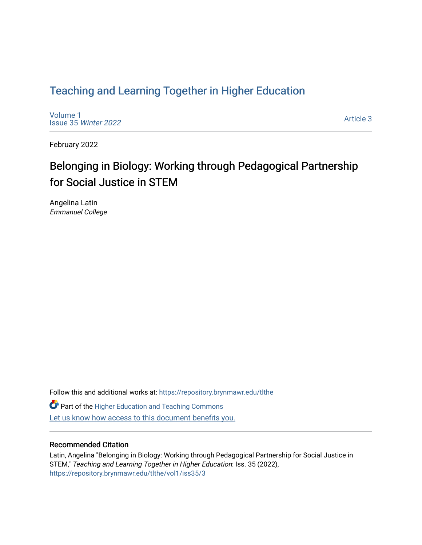# [Teaching and Learning Together in Higher Education](https://repository.brynmawr.edu/tlthe)

[Volume 1](https://repository.brynmawr.edu/tlthe/vol1) [Issue 35](https://repository.brynmawr.edu/tlthe/vol1/iss35) Winter 2022

[Article 3](https://repository.brynmawr.edu/tlthe/vol1/iss35/3) 

February 2022

# Belonging in Biology: Working through Pedagogical Partnership for Social Justice in STEM

Angelina Latin Emmanuel College

Follow this and additional works at: [https://repository.brynmawr.edu/tlthe](https://repository.brynmawr.edu/tlthe?utm_source=repository.brynmawr.edu%2Ftlthe%2Fvol1%2Fiss35%2F3&utm_medium=PDF&utm_campaign=PDFCoverPages)  **Part of the Higher Education and Teaching Commons** Let us know how access to this document benefits you.

#### Recommended Citation

Latin, Angelina "Belonging in Biology: Working through Pedagogical Partnership for Social Justice in STEM," Teaching and Learning Together in Higher Education: Iss. 35 (2022), [https://repository.brynmawr.edu/tlthe/vol1/iss35/3](https://repository.brynmawr.edu/tlthe/vol1/iss35/3?utm_source=repository.brynmawr.edu%2Ftlthe%2Fvol1%2Fiss35%2F3&utm_medium=PDF&utm_campaign=PDFCoverPages)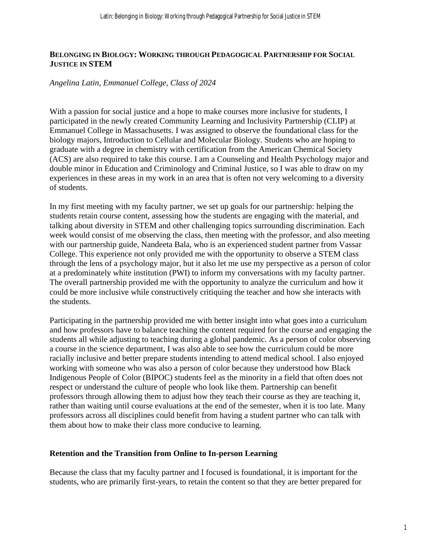#### **BELONGING IN BIOLOGY: WORKING THROUGH PEDAGOGICAL PARTNERSHIP FOR SOCIAL JUSTICE IN STEM**

#### *Angelina Latin, Emmanuel College, Class of 2024*

With a passion for social justice and a hope to make courses more inclusive for students, I participated in the newly created Community Learning and Inclusivity Partnership (CLIP) at Emmanuel College in Massachusetts. I was assigned to observe the foundational class for the biology majors, Introduction to Cellular and Molecular Biology. Students who are hoping to graduate with a degree in chemistry with certification from the American Chemical Society (ACS) are also required to take this course. I am a Counseling and Health Psychology major and double minor in Education and Criminology and Criminal Justice, so I was able to draw on my experiences in these areas in my work in an area that is often not very welcoming to a diversity of students.

In my first meeting with my faculty partner, we set up goals for our partnership: helping the students retain course content, assessing how the students are engaging with the material, and talking about diversity in STEM and other challenging topics surrounding discrimination. Each week would consist of me observing the class, then meeting with the professor, and also meeting with our partnership guide, Nandeeta Bala, who is an experienced student partner from Vassar College. This experience not only provided me with the opportunity to observe a STEM class through the lens of a psychology major, but it also let me use my perspective as a person of color at a predominately white institution (PWI) to inform my conversations with my faculty partner. The overall partnership provided me with the opportunity to analyze the curriculum and how it could be more inclusive while constructively critiquing the teacher and how she interacts with the students.

Participating in the partnership provided me with better insight into what goes into a curriculum and how professors have to balance teaching the content required for the course and engaging the students all while adjusting to teaching during a global pandemic. As a person of color observing a course in the science department, I was also able to see how the curriculum could be more racially inclusive and better prepare students intending to attend medical school. I also enjoyed working with someone who was also a person of color because they understood how Black Indigenous People of Color (BIPOC) students feel as the minority in a field that often does not respect or understand the culture of people who look like them. Partnership can benefit professors through allowing them to adjust how they teach their course as they are teaching it, rather than waiting until course evaluations at the end of the semester, when it is too late. Many professors across all disciplines could benefit from having a student partner who can talk with them about how to make their class more conducive to learning.

#### **Retention and the Transition from Online to In-person Learning**

Because the class that my faculty partner and I focused is foundational, it is important for the students, who are primarily first-years, to retain the content so that they are better prepared for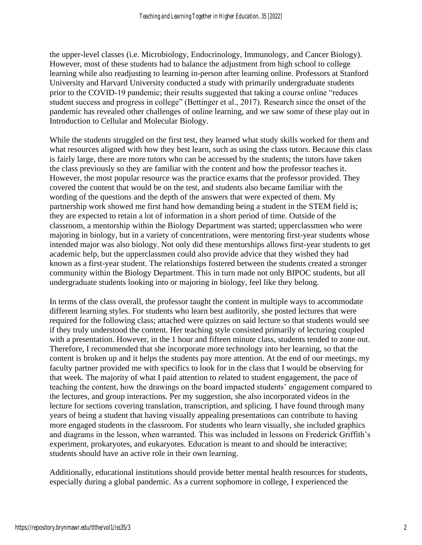the upper-level classes (i.e. Microbiology, Endocrinology, Immunology, and Cancer Biology). However, most of these students had to balance the adjustment from high school to college learning while also readjusting to learning in-person after learning online. Professors at Stanford University and Harvard University conducted a study with primarily undergraduate students prior to the COVID-19 pandemic; their results suggested that taking a course online "reduces student success and progress in college" (Bettinger et al., 2017). Research since the onset of the pandemic has revealed other challenges of online learning, and we saw some of these play out in Introduction to Cellular and Molecular Biology.

While the students struggled on the first test, they learned what study skills worked for them and what resources aligned with how they best learn, such as using the class tutors. Because this class is fairly large, there are more tutors who can be accessed by the students; the tutors have taken the class previously so they are familiar with the content and how the professor teaches it. However, the most popular resource was the practice exams that the professor provided. They covered the content that would be on the test, and students also became familiar with the wording of the questions and the depth of the answers that were expected of them. My partnership work showed me first hand how demanding being a student in the STEM field is; they are expected to retain a lot of information in a short period of time. Outside of the classroom, a mentorship within the Biology Department was started; upperclassmen who were majoring in biology, but in a variety of concentrations, were mentoring first-year students whose intended major was also biology. Not only did these mentorships allows first-year students to get academic help, but the upperclassmen could also provide advice that they wished they had known as a first-year student. The relationships fostered between the students created a stronger community within the Biology Department. This in turn made not only BIPOC students, but all undergraduate students looking into or majoring in biology, feel like they belong.

In terms of the class overall, the professor taught the content in multiple ways to accommodate different learning styles. For students who learn best auditorily, she posted lectures that were required for the following class; attached were quizzes on said lecture so that students would see if they truly understood the content. Her teaching style consisted primarily of lecturing coupled with a presentation. However, in the 1 hour and fifteen minute class, students tended to zone out. Therefore, I recommended that she incorporate more technology into her learning, so that the content is broken up and it helps the students pay more attention. At the end of our meetings, my faculty partner provided me with specifics to look for in the class that I would be observing for that week. The majority of what I paid attention to related to student engagement, the pace of teaching the content, how the drawings on the board impacted students' engagement compared to the lectures, and group interactions. Per my suggestion, she also incorporated videos in the lecture for sections covering translation, transcription, and splicing. I have found through many years of being a student that having visually appealing presentations can contribute to having more engaged students in the classroom. For students who learn visually, she included graphics and diagrams in the lesson, when warranted. This was included in lessons on Frederick Griffith's experiment, prokaryotes, and eukaryotes. Education is meant to and should be interactive; students should have an active role in their own learning.

Additionally, educational institutions should provide better mental health resources for students, especially during a global pandemic. As a current sophomore in college, I experienced the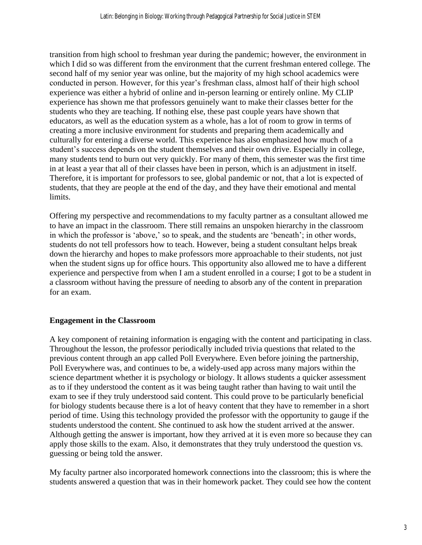transition from high school to freshman year during the pandemic; however, the environment in which I did so was different from the environment that the current freshman entered college. The second half of my senior year was online, but the majority of my high school academics were conducted in person. However, for this year's freshman class, almost half of their high school experience was either a hybrid of online and in-person learning or entirely online. My CLIP experience has shown me that professors genuinely want to make their classes better for the students who they are teaching. If nothing else, these past couple years have shown that educators, as well as the education system as a whole, has a lot of room to grow in terms of creating a more inclusive environment for students and preparing them academically and culturally for entering a diverse world. This experience has also emphasized how much of a student's success depends on the student themselves and their own drive. Especially in college, many students tend to burn out very quickly. For many of them, this semester was the first time in at least a year that all of their classes have been in person, which is an adjustment in itself. Therefore, it is important for professors to see, global pandemic or not, that a lot is expected of students, that they are people at the end of the day, and they have their emotional and mental limits.

Offering my perspective and recommendations to my faculty partner as a consultant allowed me to have an impact in the classroom. There still remains an unspoken hierarchy in the classroom in which the professor is 'above,' so to speak, and the students are 'beneath'; in other words, students do not tell professors how to teach. However, being a student consultant helps break down the hierarchy and hopes to make professors more approachable to their students, not just when the student signs up for office hours. This opportunity also allowed me to have a different experience and perspective from when I am a student enrolled in a course; I got to be a student in a classroom without having the pressure of needing to absorb any of the content in preparation for an exam.

# **Engagement in the Classroom**

A key component of retaining information is engaging with the content and participating in class. Throughout the lesson, the professor periodically included trivia questions that related to the previous content through an app called Poll Everywhere. Even before joining the partnership, Poll Everywhere was, and continues to be, a widely-used app across many majors within the science department whether it is psychology or biology. It allows students a quicker assessment as to if they understood the content as it was being taught rather than having to wait until the exam to see if they truly understood said content. This could prove to be particularly beneficial for biology students because there is a lot of heavy content that they have to remember in a short period of time. Using this technology provided the professor with the opportunity to gauge if the students understood the content. She continued to ask how the student arrived at the answer. Although getting the answer is important, how they arrived at it is even more so because they can apply those skills to the exam. Also, it demonstrates that they truly understood the question vs. guessing or being told the answer.

My faculty partner also incorporated homework connections into the classroom; this is where the students answered a question that was in their homework packet. They could see how the content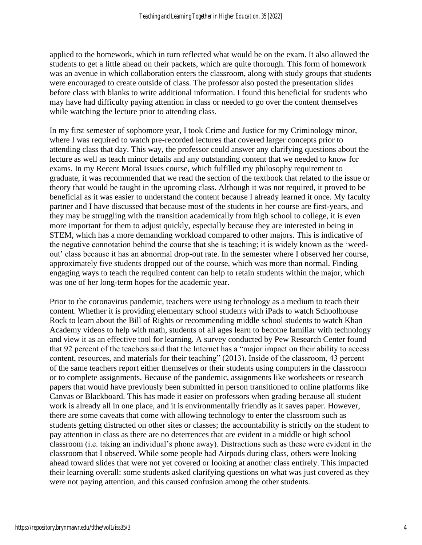applied to the homework, which in turn reflected what would be on the exam. It also allowed the students to get a little ahead on their packets, which are quite thorough. This form of homework was an avenue in which collaboration enters the classroom, along with study groups that students were encouraged to create outside of class. The professor also posted the presentation slides before class with blanks to write additional information. I found this beneficial for students who may have had difficulty paying attention in class or needed to go over the content themselves while watching the lecture prior to attending class.

In my first semester of sophomore year, I took Crime and Justice for my Criminology minor, where I was required to watch pre-recorded lectures that covered larger concepts prior to attending class that day. This way, the professor could answer any clarifying questions about the lecture as well as teach minor details and any outstanding content that we needed to know for exams. In my Recent Moral Issues course, which fulfilled my philosophy requirement to graduate, it was recommended that we read the section of the textbook that related to the issue or theory that would be taught in the upcoming class. Although it was not required, it proved to be beneficial as it was easier to understand the content because I already learned it once. My faculty partner and I have discussed that because most of the students in her course are first-years, and they may be struggling with the transition academically from high school to college, it is even more important for them to adjust quickly, especially because they are interested in being in STEM, which has a more demanding workload compared to other majors. This is indicative of the negative connotation behind the course that she is teaching; it is widely known as the 'weedout' class because it has an abnormal drop-out rate. In the semester where I observed her course, approximately five students dropped out of the course, which was more than normal. Finding engaging ways to teach the required content can help to retain students within the major, which was one of her long-term hopes for the academic year.

Prior to the coronavirus pandemic, teachers were using technology as a medium to teach their content. Whether it is providing elementary school students with iPads to watch Schoolhouse Rock to learn about the Bill of Rights or recommending middle school students to watch Khan Academy videos to help with math, students of all ages learn to become familiar with technology and view it as an effective tool for learning. A survey conducted by Pew Research Center found that 92 percent of the teachers said that the Internet has a "major impact on their ability to access content, resources, and materials for their teaching" (2013). Inside of the classroom, 43 percent of the same teachers report either themselves or their students using computers in the classroom or to complete assignments. Because of the pandemic, assignments like worksheets or research papers that would have previously been submitted in person transitioned to online platforms like Canvas or Blackboard. This has made it easier on professors when grading because all student work is already all in one place, and it is environmentally friendly as it saves paper. However, there are some caveats that come with allowing technology to enter the classroom such as students getting distracted on other sites or classes; the accountability is strictly on the student to pay attention in class as there are no deterrences that are evident in a middle or high school classroom (i.e. taking an individual's phone away). Distractions such as these were evident in the classroom that I observed. While some people had Airpods during class, others were looking ahead toward slides that were not yet covered or looking at another class entirely. This impacted their learning overall: some students asked clarifying questions on what was just covered as they were not paying attention, and this caused confusion among the other students.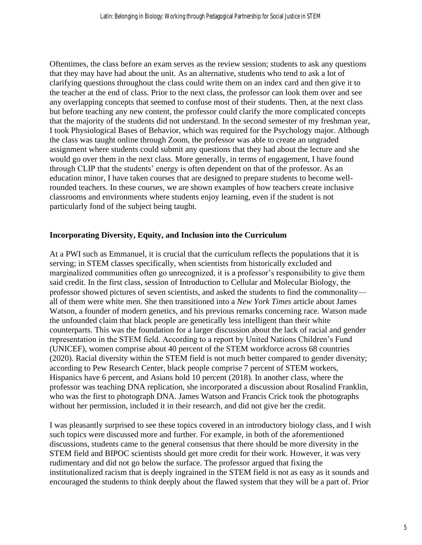Oftentimes, the class before an exam serves as the review session; students to ask any questions that they may have had about the unit. As an alternative, students who tend to ask a lot of clarifying questions throughout the class could write them on an index card and then give it to the teacher at the end of class. Prior to the next class, the professor can look them over and see any overlapping concepts that seemed to confuse most of their students. Then, at the next class but before teaching any new content, the professor could clarify the more complicated concepts that the majority of the students did not understand. In the second semester of my freshman year, I took Physiological Bases of Behavior, which was required for the Psychology major. Although the class was taught online through Zoom, the professor was able to create an ungraded assignment where students could submit any questions that they had about the lecture and she would go over them in the next class. More generally, in terms of engagement, I have found through CLIP that the students' energy is often dependent on that of the professor. As an education minor, I have taken courses that are designed to prepare students to become wellrounded teachers. In these courses, we are shown examples of how teachers create inclusive classrooms and environments where students enjoy learning, even if the student is not particularly fond of the subject being taught.

#### **Incorporating Diversity, Equity, and Inclusion into the Curriculum**

At a PWI such as Emmanuel, it is crucial that the curriculum reflects the populations that it is serving; in STEM classes specifically, when scientists from historically excluded and marginalized communities often go unrecognized, it is a professor's responsibility to give them said credit. In the first class, session of Introduction to Cellular and Molecular Biology, the professor showed pictures of seven scientists, and asked the students to find the commonality all of them were white men. She then transitioned into a *New York Times* article about James Watson, a founder of modern genetics, and his previous remarks concerning race. Watson made the unfounded claim that black people are genetically less intelligent than their white counterparts. This was the foundation for a larger discussion about the lack of racial and gender representation in the STEM field. According to a report by United Nations Children's Fund (UNICEF), women comprise about 40 percent of the STEM workforce across 68 countries (2020). Racial diversity within the STEM field is not much better compared to gender diversity; according to Pew Research Center, black people comprise 7 percent of STEM workers, Hispanics have 6 percent, and Asians hold 10 percent (2018). In another class, where the professor was teaching DNA replication, she incorporated a discussion about Rosalind Franklin, who was the first to photograph DNA. James Watson and Francis Crick took the photographs without her permission, included it in their research, and did not give her the credit.

I was pleasantly surprised to see these topics covered in an introductory biology class, and I wish such topics were discussed more and further. For example, in both of the aforementioned discussions, students came to the general consensus that there should be more diversity in the STEM field and BIPOC scientists should get more credit for their work. However, it was very rudimentary and did not go below the surface. The professor argued that fixing the institutionalized racism that is deeply ingrained in the STEM field is not as easy as it sounds and encouraged the students to think deeply about the flawed system that they will be a part of. Prior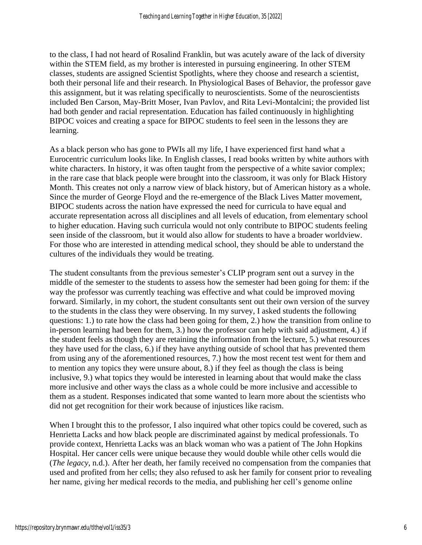to the class, I had not heard of Rosalind Franklin, but was acutely aware of the lack of diversity within the STEM field, as my brother is interested in pursuing engineering. In other STEM classes, students are assigned Scientist Spotlights, where they choose and research a scientist, both their personal life and their research. In Physiological Bases of Behavior, the professor gave this assignment, but it was relating specifically to neuroscientists. Some of the neuroscientists included Ben Carson, May-Britt Moser, Ivan Pavlov, and Rita Levi-Montalcini; the provided list had both gender and racial representation. Education has failed continuously in highlighting BIPOC voices and creating a space for BIPOC students to feel seen in the lessons they are learning.

As a black person who has gone to PWIs all my life, I have experienced first hand what a Eurocentric curriculum looks like. In English classes, I read books written by white authors with white characters. In history, it was often taught from the perspective of a white savior complex; in the rare case that black people were brought into the classroom, it was only for Black History Month. This creates not only a narrow view of black history, but of American history as a whole. Since the murder of George Floyd and the re-emergence of the Black Lives Matter movement, BIPOC students across the nation have expressed the need for curricula to have equal and accurate representation across all disciplines and all levels of education, from elementary school to higher education. Having such curricula would not only contribute to BIPOC students feeling seen inside of the classroom, but it would also allow for students to have a broader worldview. For those who are interested in attending medical school, they should be able to understand the cultures of the individuals they would be treating.

The student consultants from the previous semester's CLIP program sent out a survey in the middle of the semester to the students to assess how the semester had been going for them: if the way the professor was currently teaching was effective and what could be improved moving forward. Similarly, in my cohort, the student consultants sent out their own version of the survey to the students in the class they were observing. In my survey, I asked students the following questions: 1.) to rate how the class had been going for them, 2.) how the transition from online to in-person learning had been for them, 3.) how the professor can help with said adjustment, 4.) if the student feels as though they are retaining the information from the lecture, 5.) what resources they have used for the class, 6.) if they have anything outside of school that has prevented them from using any of the aforementioned resources, 7.) how the most recent test went for them and to mention any topics they were unsure about, 8.) if they feel as though the class is being inclusive, 9.) what topics they would be interested in learning about that would make the class more inclusive and other ways the class as a whole could be more inclusive and accessible to them as a student. Responses indicated that some wanted to learn more about the scientists who did not get recognition for their work because of injustices like racism.

When I brought this to the professor, I also inquired what other topics could be covered, such as Henrietta Lacks and how black people are discriminated against by medical professionals. To provide context, Henrietta Lacks was an black woman who was a patient of The John Hopkins Hospital. Her cancer cells were unique because they would double while other cells would die (*The legacy*, n.d.). After her death, her family received no compensation from the companies that used and profited from her cells; they also refused to ask her family for consent prior to revealing her name, giving her medical records to the media, and publishing her cell's genome online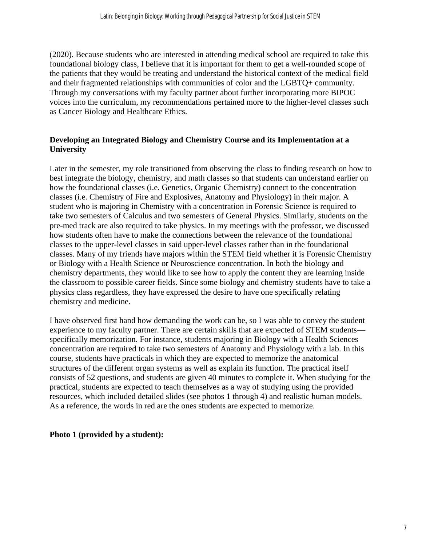(2020). Because students who are interested in attending medical school are required to take this foundational biology class, I believe that it is important for them to get a well-rounded scope of the patients that they would be treating and understand the historical context of the medical field and their fragmented relationships with communities of color and the LGBTQ+ community. Through my conversations with my faculty partner about further incorporating more BIPOC voices into the curriculum, my recommendations pertained more to the higher-level classes such as Cancer Biology and Healthcare Ethics.

# **Developing an Integrated Biology and Chemistry Course and its Implementation at a University**

Later in the semester, my role transitioned from observing the class to finding research on how to best integrate the biology, chemistry, and math classes so that students can understand earlier on how the foundational classes (i.e. Genetics, Organic Chemistry) connect to the concentration classes (i.e. Chemistry of Fire and Explosives, Anatomy and Physiology) in their major. A student who is majoring in Chemistry with a concentration in Forensic Science is required to take two semesters of Calculus and two semesters of General Physics. Similarly, students on the pre-med track are also required to take physics. In my meetings with the professor, we discussed how students often have to make the connections between the relevance of the foundational classes to the upper-level classes in said upper-level classes rather than in the foundational classes. Many of my friends have majors within the STEM field whether it is Forensic Chemistry or Biology with a Health Science or Neuroscience concentration. In both the biology and chemistry departments, they would like to see how to apply the content they are learning inside the classroom to possible career fields. Since some biology and chemistry students have to take a physics class regardless, they have expressed the desire to have one specifically relating chemistry and medicine.

I have observed first hand how demanding the work can be, so I was able to convey the student experience to my faculty partner. There are certain skills that are expected of STEM students specifically memorization. For instance, students majoring in Biology with a Health Sciences concentration are required to take two semesters of Anatomy and Physiology with a lab. In this course, students have practicals in which they are expected to memorize the anatomical structures of the different organ systems as well as explain its function. The practical itself consists of 52 questions, and students are given 40 minutes to complete it. When studying for the practical, students are expected to teach themselves as a way of studying using the provided resources, which included detailed slides (see photos 1 through 4) and realistic human models. As a reference, the words in red are the ones students are expected to memorize.

#### **Photo 1 (provided by a student):**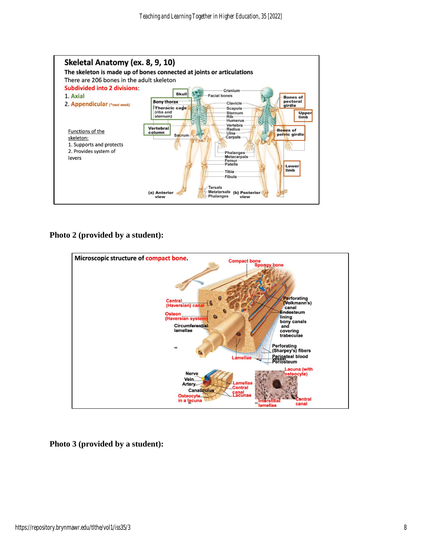

**Photo 2 (provided by a student):** 



**Photo 3 (provided by a student):**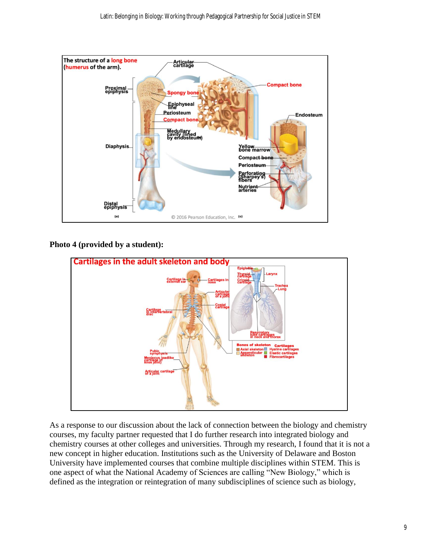

# **Photo 4 (provided by a student):**



As a response to our discussion about the lack of connection between the biology and chemistry courses, my faculty partner requested that I do further research into integrated biology and chemistry courses at other colleges and universities. Through my research, I found that it is not a new concept in higher education. Institutions such as the University of Delaware and Boston University have implemented courses that combine multiple disciplines within STEM. This is one aspect of what the National Academy of Sciences are calling "New Biology," which is defined as the integration or reintegration of many subdisciplines of science such as biology,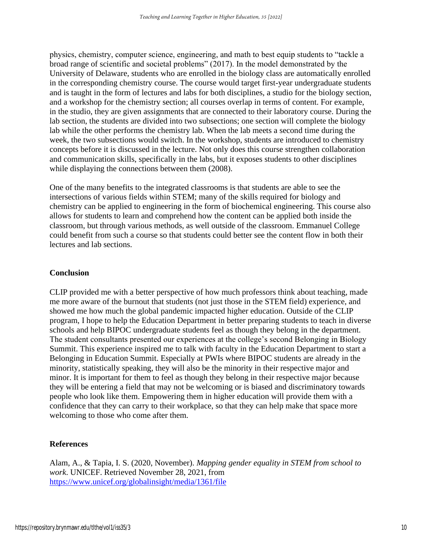physics, chemistry, computer science, engineering, and math to best equip students to "tackle a broad range of scientific and societal problems" (2017). In the model demonstrated by the University of Delaware, students who are enrolled in the biology class are automatically enrolled in the corresponding chemistry course. The course would target first-year undergraduate students and is taught in the form of lectures and labs for both disciplines, a studio for the biology section, and a workshop for the chemistry section; all courses overlap in terms of content. For example, in the studio, they are given assignments that are connected to their laboratory course. During the lab section, the students are divided into two subsections; one section will complete the biology lab while the other performs the chemistry lab. When the lab meets a second time during the week, the two subsections would switch. In the workshop, students are introduced to chemistry concepts before it is discussed in the lecture. Not only does this course strengthen collaboration and communication skills, specifically in the labs, but it exposes students to other disciplines while displaying the connections between them (2008).

One of the many benefits to the integrated classrooms is that students are able to see the intersections of various fields within STEM; many of the skills required for biology and chemistry can be applied to engineering in the form of biochemical engineering. This course also allows for students to learn and comprehend how the content can be applied both inside the classroom, but through various methods, as well outside of the classroom. Emmanuel College could benefit from such a course so that students could better see the content flow in both their lectures and lab sections.

#### **Conclusion**

CLIP provided me with a better perspective of how much professors think about teaching, made me more aware of the burnout that students (not just those in the STEM field) experience, and showed me how much the global pandemic impacted higher education. Outside of the CLIP program, I hope to help the Education Department in better preparing students to teach in diverse schools and help BIPOC undergraduate students feel as though they belong in the department. The student consultants presented our experiences at the college's second Belonging in Biology Summit. This experience inspired me to talk with faculty in the Education Department to start a Belonging in Education Summit. Especially at PWIs where BIPOC students are already in the minority, statistically speaking, they will also be the minority in their respective major and minor. It is important for them to feel as though they belong in their respective major because they will be entering a field that may not be welcoming or is biased and discriminatory towards people who look like them. Empowering them in higher education will provide them with a confidence that they can carry to their workplace, so that they can help make that space more welcoming to those who come after them.

# **References**

Alam, A., & Tapia, I. S. (2020, November). *Mapping gender equality in STEM from school to work*. UNICEF. Retrieved November 28, 2021, from <https://www.unicef.org/globalinsight/media/1361/file>